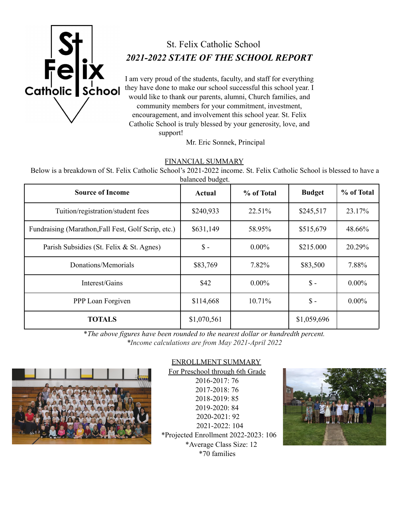

# St. Felix Catholic School *2021-2022 STATE OF THE SCHOOL REPORT*

I am very proud of the students, faculty, and staff for everything they have done to make our school successful this school year. I would like to thank our parents, alumni, Church families, and community members for your commitment, investment, encouragement, and involvement this school year. St. Felix Catholic School is truly blessed by your generosity, love, and support!

Mr. Eric Sonnek, Principal

### FINANCIAL SUMMARY

Below is a breakdown of St. Felix Catholic School's 2021-2022 income. St. Felix Catholic School is blessed to have a balanced budget.

| <b>Source of Income</b>                             | <b>Actual</b>   | % of Total | <b>Budget</b>   | % of Total |
|-----------------------------------------------------|-----------------|------------|-----------------|------------|
| Tuition/registration/student fees                   | \$240,933       | 22.51%     | \$245,517       | 23.17%     |
| Fundraising (Marathon, Fall Fest, Golf Scrip, etc.) | \$631,149       | 58.95%     | \$515,679       | 48.66%     |
| Parish Subsidies (St. Felix & St. Agnes)            | $\mathsf{\$}$ - | $0.00\%$   | \$215.000       | 20.29%     |
| Donations/Memorials                                 | \$83,769        | 7.82%      | \$83,500        | 7.88%      |
| Interest/Gains                                      | \$42            | $0.00\%$   | $\mathsf{\$}$ - | $0.00\%$   |
| PPP Loan Forgiven                                   | \$114,668       | 10.71%     | $\mathsf{\$}$ - | $0.00\%$   |
| <b>TOTALS</b>                                       | \$1,070,561     |            | \$1,059,696     |            |

\**The above figures have been rounded to the nearest dollar or hundredth percent. \*Income calculations are from May 2021-April 2022*



## ENROLLMENT SUMMARY

For Preschool through 6th Grade 2016-2017: 76 2017-2018: 76 2018-2019: 85 2019-2020: 84 2020-2021: 92 2021-2022: 104 \*Projected Enrollment 2022-2023: 106 \*Average Class Size: 12 \*70 families